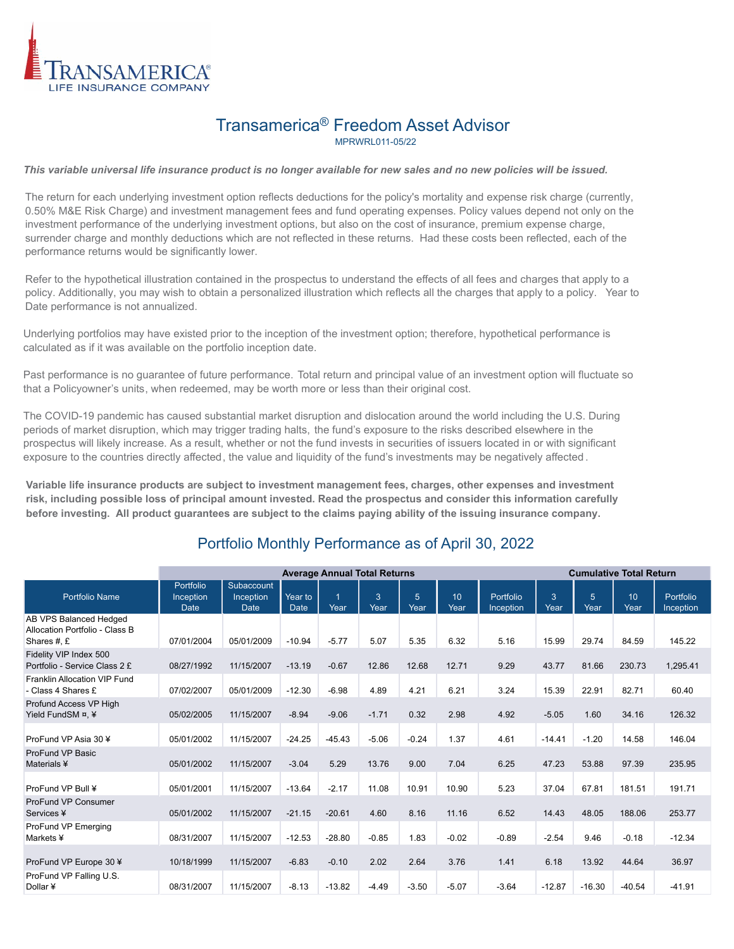

## Transamerica® Freedom Asset Advisor MPRWRL011-05/22

*This variable universal life insurance product is no longer available for new sales and no new policies will be issued.*

The return for each underlying investment option reflects deductions for the policy's mortality and expense risk charge (currently, 0.50% M&E Risk Charge) and investment management fees and fund operating expenses. Policy values depend not only on the investment performance of the underlying investment options, but also on the cost of insurance, premium expense charge, surrender charge and monthly deductions which are not reflected in these returns. Had these costs been reflected, each of the performance returns would be significantly lower.

Refer to the hypothetical illustration contained in the prospectus to understand the effects of all fees and charges that apply to a policy. Additionally, you may wish to obtain a personalized illustration which reflects all the charges that apply to a policy. Year to Date performance is not annualized.

Underlying portfolios may have existed prior to the inception of the investment option; therefore, hypothetical performance is calculated as if it was available on the portfolio inception date.

Past performance is no guarantee of future performance. Total return and principal value of an investment option will fluctuate so that a Policyowner's units, when redeemed, may be worth more or less than their original cost.

The COVID-19 pandemic has caused substantial market disruption and dislocation around the world including the U.S. During periods of market disruption, which may trigger trading halts, the fund's exposure to the risks described elsewhere in the prospectus will likely increase. As a result, whether or not the fund invests in securities of issuers located in or with significant exposure to the countries directly affected, the value and liquidity of the fund's investments may be negatively affected .

**Variable life insurance products are subject to investment management fees, charges, other expenses and investment risk, including possible loss of principal amount invested. Read the prospectus and consider this information carefully before investing. All product guarantees are subject to the claims paying ability of the issuing insurance company.**

## Portfolio Monthly Performance as of April 30, 2022

|                                                                         | <b>Average Annual Total Returns</b>          |                                        |                 |           |           |                        |            | <b>Cumulative Total Return</b> |           |                         |                          |                        |
|-------------------------------------------------------------------------|----------------------------------------------|----------------------------------------|-----------------|-----------|-----------|------------------------|------------|--------------------------------|-----------|-------------------------|--------------------------|------------------------|
| <b>Portfolio Name</b>                                                   | <b>Portfolio</b><br>Inception<br><b>Date</b> | Subaccount<br>Inception<br><b>Date</b> | Year to<br>Date | 1<br>Year | 3<br>Year | $\overline{5}$<br>Year | 10<br>Year | Portfolio<br>Inception         | 3<br>Year | $5\overline{5}$<br>Year | 10 <sup>10</sup><br>Year | Portfolio<br>Inception |
| AB VPS Balanced Hedged<br>Allocation Portfolio - Class B<br>Shares #, £ | 07/01/2004                                   | 05/01/2009                             | $-10.94$        | $-5.77$   | 5.07      | 5.35                   | 6.32       | 5.16                           | 15.99     | 29.74                   | 84.59                    | 145.22                 |
| Fidelity VIP Index 500<br>Portfolio - Service Class 2 £                 | 08/27/1992                                   | 11/15/2007                             | $-13.19$        | $-0.67$   | 12.86     | 12.68                  | 12.71      | 9.29                           | 43.77     | 81.66                   | 230.73                   | 1,295.41               |
| Franklin Allocation VIP Fund<br>- Class 4 Shares £                      | 07/02/2007                                   | 05/01/2009                             | $-12.30$        | $-6.98$   | 4.89      | 4.21                   | 6.21       | 3.24                           | 15.39     | 22.91                   | 82.71                    | 60.40                  |
| Profund Access VP High<br>Yield FundSM ¤, ¥                             | 05/02/2005                                   | 11/15/2007                             | $-8.94$         | $-9.06$   | $-1.71$   | 0.32                   | 2.98       | 4.92                           | $-5.05$   | 1.60                    | 34.16                    | 126.32                 |
| ProFund VP Asia 30 ¥                                                    | 05/01/2002                                   | 11/15/2007                             | $-24.25$        | $-45.43$  | $-5.06$   | $-0.24$                | 1.37       | 4.61                           | $-14.41$  | $-1.20$                 | 14.58                    | 146.04                 |
| ProFund VP Basic<br>Materials ¥                                         | 05/01/2002                                   | 11/15/2007                             | $-3.04$         | 5.29      | 13.76     | 9.00                   | 7.04       | 6.25                           | 47.23     | 53.88                   | 97.39                    | 235.95                 |
| ProFund VP Bull ¥                                                       | 05/01/2001                                   | 11/15/2007                             | $-13.64$        | $-2.17$   | 11.08     | 10.91                  | 10.90      | 5.23                           | 37.04     | 67.81                   | 181.51                   | 191.71                 |
| <b>ProFund VP Consumer</b><br>Services ¥                                | 05/01/2002                                   | 11/15/2007                             | $-21.15$        | $-20.61$  | 4.60      | 8.16                   | 11.16      | 6.52                           | 14.43     | 48.05                   | 188.06                   | 253.77                 |
| ProFund VP Emerging<br>Markets ¥                                        | 08/31/2007                                   | 11/15/2007                             | $-12.53$        | $-28.80$  | $-0.85$   | 1.83                   | $-0.02$    | $-0.89$                        | $-2.54$   | 9.46                    | $-0.18$                  | $-12.34$               |
| ProFund VP Europe 30 ¥                                                  | 10/18/1999                                   | 11/15/2007                             | $-6.83$         | $-0.10$   | 2.02      | 2.64                   | 3.76       | 1.41                           | 6.18      | 13.92                   | 44.64                    | 36.97                  |
| ProFund VP Falling U.S.<br>Dollar ¥                                     | 08/31/2007                                   | 11/15/2007                             | $-8.13$         | $-13.82$  | $-4.49$   | $-3.50$                | $-5.07$    | $-3.64$                        | $-12.87$  | $-16.30$                | $-40.54$                 | $-41.91$               |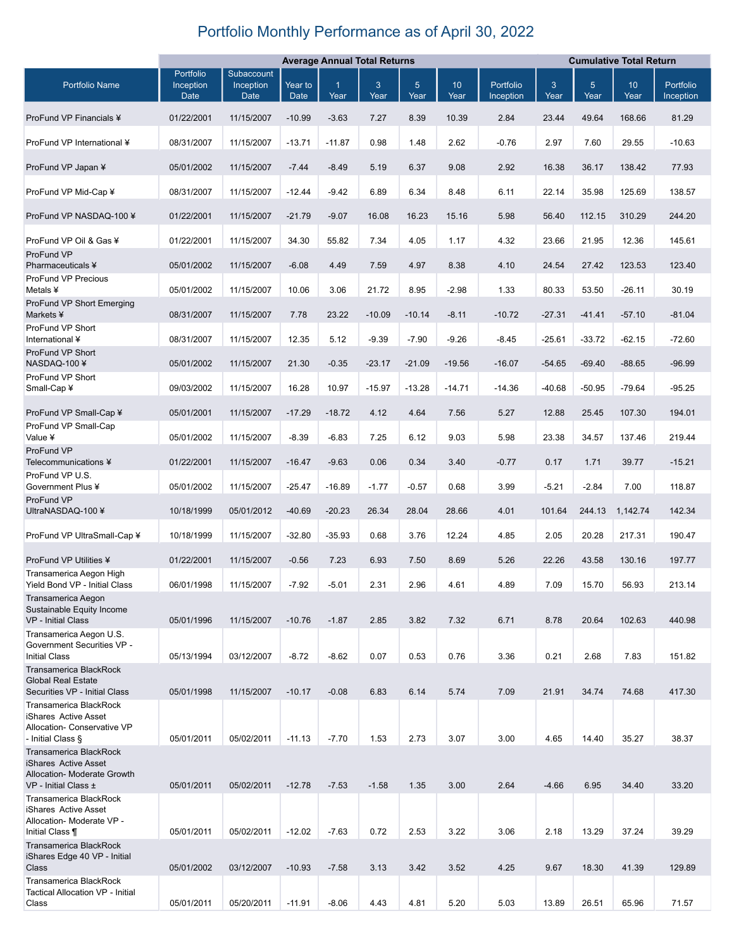## Portfolio Monthly Performance as of April 30, 2022

|                                                                                                | <b>Average Annual Total Returns</b> |                                        |                 |           |           |                        | <b>Cumulative Total Return</b> |                        |           |           |            |                        |
|------------------------------------------------------------------------------------------------|-------------------------------------|----------------------------------------|-----------------|-----------|-----------|------------------------|--------------------------------|------------------------|-----------|-----------|------------|------------------------|
| <b>Portfolio Name</b>                                                                          | Portfolio<br>Inception<br>Date      | Subaccount<br>Inception<br><b>Date</b> | Year to<br>Date | 1<br>Year | 3<br>Year | 5 <sup>5</sup><br>Year | 10<br>Year                     | Portfolio<br>Inception | 3<br>Year | 5<br>Year | 10<br>Year | Portfolio<br>Inception |
| ProFund VP Financials ¥                                                                        | 01/22/2001                          | 11/15/2007                             | $-10.99$        | $-3.63$   | 7.27      | 8.39                   | 10.39                          | 2.84                   | 23.44     | 49.64     | 168.66     | 81.29                  |
| ProFund VP International ¥                                                                     | 08/31/2007                          | 11/15/2007                             | $-13.71$        | $-11.87$  | 0.98      | 1.48                   | 2.62                           | $-0.76$                | 2.97      | 7.60      | 29.55      | $-10.63$               |
| ProFund VP Japan ¥                                                                             | 05/01/2002                          | 11/15/2007                             | $-7.44$         | $-8.49$   | 5.19      | 6.37                   | 9.08                           | 2.92                   | 16.38     | 36.17     | 138.42     | 77.93                  |
| ProFund VP Mid-Cap ¥                                                                           | 08/31/2007                          | 11/15/2007                             | $-12.44$        | $-9.42$   | 6.89      | 6.34                   | 8.48                           | 6.11                   | 22.14     | 35.98     | 125.69     | 138.57                 |
| ProFund VP NASDAQ-100 ¥                                                                        | 01/22/2001                          | 11/15/2007                             | $-21.79$        | $-9.07$   | 16.08     | 16.23                  | 15.16                          | 5.98                   | 56.40     | 112.15    | 310.29     | 244.20                 |
| ProFund VP Oil & Gas ¥                                                                         | 01/22/2001                          | 11/15/2007                             | 34.30           | 55.82     | 7.34      | 4.05                   | 1.17                           | 4.32                   | 23.66     | 21.95     | 12.36      | 145.61                 |
| ProFund VP<br>Pharmaceuticals ¥                                                                | 05/01/2002                          | 11/15/2007                             | $-6.08$         | 4.49      | 7.59      | 4.97                   | 8.38                           | 4.10                   | 24.54     | 27.42     | 123.53     | 123.40                 |
| ProFund VP Precious<br>Metals ¥                                                                | 05/01/2002                          | 11/15/2007                             | 10.06           | 3.06      | 21.72     | 8.95                   | $-2.98$                        | 1.33                   | 80.33     | 53.50     | $-26.11$   | 30.19                  |
| ProFund VP Short Emerging<br>Markets ¥                                                         | 08/31/2007                          | 11/15/2007                             | 7.78            | 23.22     | $-10.09$  | $-10.14$               | $-8.11$                        | $-10.72$               | $-27.31$  | $-41.41$  | $-57.10$   | $-81.04$               |
| ProFund VP Short<br>International ¥                                                            | 08/31/2007                          | 11/15/2007                             | 12.35           | 5.12      | $-9.39$   | $-7.90$                | $-9.26$                        | $-8.45$                | $-25.61$  | $-33.72$  | $-62.15$   | $-72.60$               |
| ProFund VP Short<br>NASDAQ-100¥                                                                | 05/01/2002                          | 11/15/2007                             | 21.30           | $-0.35$   | $-23.17$  | $-21.09$               | $-19.56$                       | $-16.07$               | $-54.65$  | $-69.40$  | $-88.65$   | $-96.99$               |
| ProFund VP Short<br>Small-Cap ¥                                                                | 09/03/2002                          | 11/15/2007                             | 16.28           | 10.97     | $-15.97$  | $-13.28$               | $-14.71$                       | $-14.36$               | $-40.68$  | $-50.95$  | $-79.64$   | $-95.25$               |
| ProFund VP Small-Cap ¥                                                                         | 05/01/2001                          | 11/15/2007                             | $-17.29$        | $-18.72$  | 4.12      | 4.64                   | 7.56                           | 5.27                   | 12.88     | 25.45     | 107.30     | 194.01                 |
| ProFund VP Small-Cap<br>Value ¥                                                                | 05/01/2002                          | 11/15/2007                             | $-8.39$         | $-6.83$   | 7.25      | 6.12                   | 9.03                           | 5.98                   | 23.38     | 34.57     | 137.46     | 219.44                 |
| ProFund VP<br>Telecommunications ¥                                                             | 01/22/2001                          | 11/15/2007                             | $-16.47$        | $-9.63$   | 0.06      | 0.34                   | 3.40                           | $-0.77$                | 0.17      | 1.71      | 39.77      | $-15.21$               |
| ProFund VP U.S.<br>Government Plus ¥                                                           | 05/01/2002                          | 11/15/2007                             | $-25.47$        | $-16.89$  | $-1.77$   | $-0.57$                | 0.68                           | 3.99                   | $-5.21$   | $-2.84$   | 7.00       | 118.87                 |
| ProFund VP<br>UltraNASDAQ-100 ¥                                                                | 10/18/1999                          | 05/01/2012                             | $-40.69$        | $-20.23$  | 26.34     | 28.04                  | 28.66                          | 4.01                   | 101.64    | 244.13    | 1,142.74   | 142.34                 |
| ProFund VP UltraSmall-Cap ¥                                                                    | 10/18/1999                          | 11/15/2007                             | $-32.80$        | $-35.93$  | 0.68      | 3.76                   | 12.24                          | 4.85                   | 2.05      | 20.28     | 217.31     | 190.47                 |
| ProFund VP Utilities ¥                                                                         | 01/22/2001                          | 11/15/2007                             | $-0.56$         | 7.23      | 6.93      | 7.50                   | 8.69                           | 5.26                   | 22.26     | 43.58     | 130.16     | 197.77                 |
| Transamerica Aegon High<br>Yield Bond VP - Initial Class                                       | 06/01/1998                          | 11/15/2007                             | $-7.92$         | $-5.01$   | 2.31      | 2.96                   | 4.61                           | 4.89                   | 7.09      | 15.70     | 56.93      | 213.14                 |
| Transamerica Aegon<br>Sustainable Equity Income<br>VP - Initial Class                          | 05/01/1996                          | 11/15/2007                             | $-10.76$        | $-1.87$   | 2.85      | 3.82                   | 7.32                           | 6.71                   | 8.78      | 20.64     | 102.63     | 440.98                 |
| Transamerica Aegon U.S.<br>Government Securities VP -<br><b>Initial Class</b>                  | 05/13/1994                          | 03/12/2007                             | $-8.72$         | $-8.62$   | 0.07      | 0.53                   | 0.76                           | 3.36                   | 0.21      | 2.68      | 7.83       | 151.82                 |
| <b>Transamerica BlackRock</b><br><b>Global Real Estate</b><br>Securities VP - Initial Class    | 05/01/1998                          | 11/15/2007                             | $-10.17$        | $-0.08$   | 6.83      | 6.14                   | 5.74                           | 7.09                   | 21.91     | 34.74     | 74.68      | 417.30                 |
| Transamerica BlackRock<br>iShares Active Asset<br>Allocation- Conservative VP                  |                                     |                                        |                 |           |           |                        |                                |                        |           |           |            |                        |
| - Initial Class §<br>Transamerica BlackRock                                                    | 05/01/2011                          | 05/02/2011                             | $-11.13$        | $-7.70$   | 1.53      | 2.73                   | 3.07                           | 3.00                   | 4.65      | 14.40     | 35.27      | 38.37                  |
| iShares Active Asset<br>Allocation- Moderate Growth<br>VP - Initial Class ±                    | 05/01/2011                          | 05/02/2011                             | $-12.78$        | $-7.53$   | $-1.58$   | 1.35                   | 3.00                           | 2.64                   | $-4.66$   | 6.95      | 34.40      | 33.20                  |
| Transamerica BlackRock<br>iShares Active Asset<br>Allocation- Moderate VP -<br>Initial Class ¶ | 05/01/2011                          | 05/02/2011                             | $-12.02$        | $-7.63$   | 0.72      | 2.53                   | 3.22                           | 3.06                   | 2.18      | 13.29     | 37.24      | 39.29                  |
| Transamerica BlackRock<br>iShares Edge 40 VP - Initial<br>Class                                | 05/01/2002                          | 03/12/2007                             | $-10.93$        | $-7.58$   | 3.13      | 3.42                   | 3.52                           | 4.25                   | 9.67      | 18.30     | 41.39      | 129.89                 |
| Transamerica BlackRock<br>Tactical Allocation VP - Initial<br>Class                            | 05/01/2011                          | 05/20/2011                             | $-11.91$        | $-8.06$   | 4.43      | 4.81                   | 5.20                           | 5.03                   | 13.89     | 26.51     | 65.96      | 71.57                  |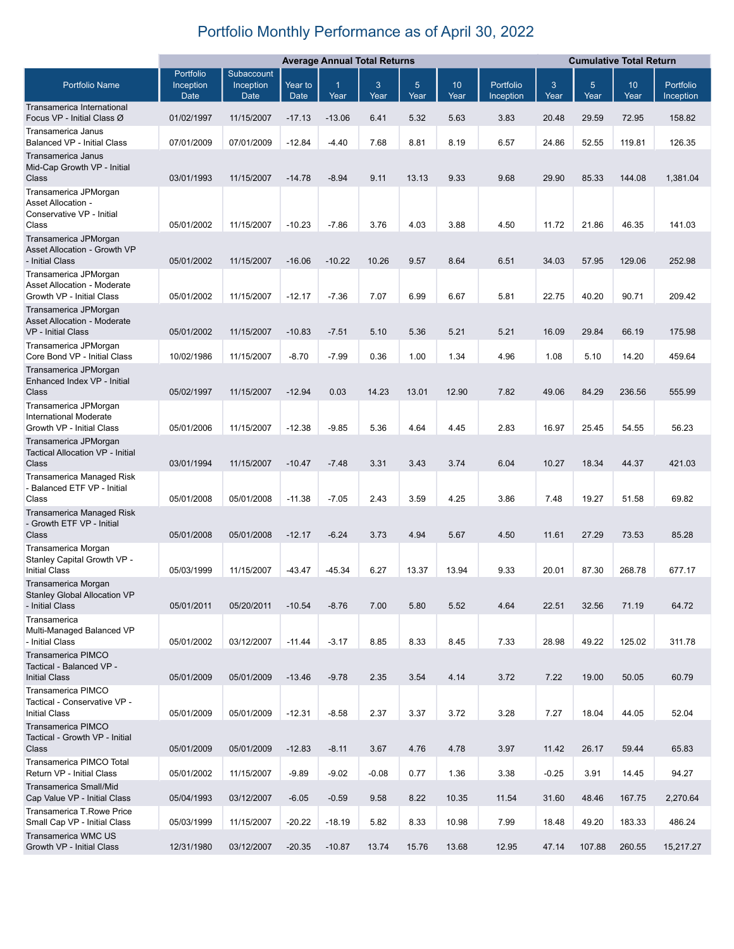## Portfolio Monthly Performance as of April 30, 2022

|                                                                                     | <b>Average Annual Total Returns</b> |                   |                        |           |           | <b>Cumulative Total Return</b> |                         |                        |           |           |                         |                        |
|-------------------------------------------------------------------------------------|-------------------------------------|-------------------|------------------------|-----------|-----------|--------------------------------|-------------------------|------------------------|-----------|-----------|-------------------------|------------------------|
|                                                                                     | Portfolio                           | Subaccount        |                        |           |           |                                |                         |                        |           |           |                         |                        |
| <b>Portfolio Name</b>                                                               | Inception<br>Date                   | Inception<br>Date | Year to<br><b>Date</b> | 1<br>Year | 3<br>Year | $5\phantom{.}$<br>Year         | 10 <sup>1</sup><br>Year | Portfolio<br>Inception | 3<br>Year | 5<br>Year | 10 <sup>°</sup><br>Year | Portfolio<br>Inception |
| Transamerica International<br>Focus VP - Initial Class Ø                            | 01/02/1997                          | 11/15/2007        | $-17.13$               | $-13.06$  | 6.41      | 5.32                           | 5.63                    | 3.83                   | 20.48     | 29.59     | 72.95                   | 158.82                 |
| Transamerica Janus<br><b>Balanced VP - Initial Class</b>                            | 07/01/2009                          | 07/01/2009        | $-12.84$               | $-4.40$   | 7.68      | 8.81                           | 8.19                    | 6.57                   | 24.86     | 52.55     | 119.81                  | 126.35                 |
| Transamerica Janus<br>Mid-Cap Growth VP - Initial<br>Class<br>Transamerica JPMorgan | 03/01/1993                          | 11/15/2007        | $-14.78$               | $-8.94$   | 9.11      | 13.13                          | 9.33                    | 9.68                   | 29.90     | 85.33     | 144.08                  | 1,381.04               |
| Asset Allocation -<br>Conservative VP - Initial<br>Class                            | 05/01/2002                          | 11/15/2007        | $-10.23$               | $-7.86$   | 3.76      | 4.03                           | 3.88                    | 4.50                   | 11.72     | 21.86     | 46.35                   | 141.03                 |
| Transamerica JPMorgan<br><b>Asset Allocation - Growth VP</b>                        |                                     |                   |                        |           |           |                                |                         |                        |           |           |                         |                        |
| - Initial Class                                                                     | 05/01/2002                          | 11/15/2007        | $-16.06$               | $-10.22$  | 10.26     | 9.57                           | 8.64                    | 6.51                   | 34.03     | 57.95     | 129.06                  | 252.98                 |
| Transamerica JPMorgan<br>Asset Allocation - Moderate                                |                                     |                   |                        |           |           |                                |                         |                        |           |           |                         |                        |
| Growth VP - Initial Class<br>Transamerica JPMorgan                                  | 05/01/2002                          | 11/15/2007        | $-12.17$               | $-7.36$   | 7.07      | 6.99                           | 6.67                    | 5.81                   | 22.75     | 40.20     | 90.71                   | 209.42                 |
| <b>Asset Allocation - Moderate</b><br><b>VP</b> - Initial Class                     | 05/01/2002                          | 11/15/2007        | $-10.83$               | $-7.51$   | 5.10      | 5.36                           | 5.21                    | 5.21                   | 16.09     | 29.84     | 66.19                   | 175.98                 |
| Transamerica JPMorgan<br>Core Bond VP - Initial Class                               | 10/02/1986                          | 11/15/2007        | $-8.70$                | $-7.99$   | 0.36      | 1.00                           | 1.34                    | 4.96                   | 1.08      | 5.10      | 14.20                   | 459.64                 |
| Transamerica JPMorgan<br>Enhanced Index VP - Initial<br>Class                       | 05/02/1997                          | 11/15/2007        | $-12.94$               | 0.03      | 14.23     | 13.01                          | 12.90                   | 7.82                   | 49.06     | 84.29     | 236.56                  | 555.99                 |
| Transamerica JPMorgan<br><b>International Moderate</b>                              |                                     |                   |                        |           |           |                                |                         |                        |           |           |                         |                        |
| Growth VP - Initial Class                                                           | 05/01/2006                          | 11/15/2007        | $-12.38$               | $-9.85$   | 5.36      | 4.64                           | 4.45                    | 2.83                   | 16.97     | 25.45     | 54.55                   | 56.23                  |
| Transamerica JPMorgan<br>Tactical Allocation VP - Initial<br>Class                  | 03/01/1994                          | 11/15/2007        | $-10.47$               | $-7.48$   | 3.31      | 3.43                           | 3.74                    | 6.04                   | 10.27     | 18.34     | 44.37                   | 421.03                 |
| Transamerica Managed Risk<br>- Balanced ETF VP - Initial<br>Class                   | 05/01/2008                          | 05/01/2008        | $-11.38$               | $-7.05$   | 2.43      | 3.59                           | 4.25                    | 3.86                   | 7.48      | 19.27     | 51.58                   | 69.82                  |
| Transamerica Managed Risk                                                           |                                     |                   |                        |           |           |                                |                         |                        |           |           |                         |                        |
| - Growth ETF VP - Initial<br>Class                                                  | 05/01/2008                          | 05/01/2008        | $-12.17$               | $-6.24$   | 3.73      | 4.94                           | 5.67                    | 4.50                   | 11.61     | 27.29     | 73.53                   | 85.28                  |
| Transamerica Morgan<br>Stanley Capital Growth VP -<br><b>Initial Class</b>          | 05/03/1999                          | 11/15/2007        | $-43.47$               | $-45.34$  | 6.27      | 13.37                          | 13.94                   | 9.33                   | 20.01     | 87.30     | 268.78                  | 677.17                 |
| Transamerica Morgan<br>Stanley Global Allocation VP<br>- Initial Class              | 05/01/2011                          | 05/20/2011        | $-10.54$               | $-8.76$   | 7.00      | 5.80                           | 5.52                    | 4.64                   | 22.51     | 32.56     | 71.19                   | 64.72                  |
| Transamerica<br>Multi-Managed Balanced VP<br>- Initial Class                        | 05/01/2002                          | 03/12/2007        | $-11.44$               | $-3.17$   | 8.85      | 8.33                           | 8.45                    | 7.33                   | 28.98     | 49.22     | 125.02                  | 311.78                 |
| Transamerica PIMCO<br>Tactical - Balanced VP -<br><b>Initial Class</b>              | 05/01/2009                          | 05/01/2009        | $-13.46$               | $-9.78$   | 2.35      | 3.54                           | 4.14                    | 3.72                   | 7.22      | 19.00     | 50.05                   | 60.79                  |
| Transamerica PIMCO<br>Tactical - Conservative VP -<br><b>Initial Class</b>          | 05/01/2009                          | 05/01/2009        | $-12.31$               | $-8.58$   | 2.37      | 3.37                           | 3.72                    | 3.28                   | 7.27      | 18.04     | 44.05                   | 52.04                  |
| Transamerica PIMCO<br>Tactical - Growth VP - Initial<br>Class                       | 05/01/2009                          | 05/01/2009        | $-12.83$               | $-8.11$   | 3.67      | 4.76                           | 4.78                    | 3.97                   | 11.42     | 26.17     | 59.44                   | 65.83                  |
| Transamerica PIMCO Total<br>Return VP - Initial Class                               | 05/01/2002                          | 11/15/2007        | $-9.89$                | $-9.02$   | $-0.08$   | 0.77                           | 1.36                    | 3.38                   | $-0.25$   | 3.91      | 14.45                   | 94.27                  |
| Transamerica Small/Mid                                                              |                                     |                   |                        |           |           |                                |                         |                        |           |           |                         |                        |
| Cap Value VP - Initial Class                                                        | 05/04/1993                          | 03/12/2007        | $-6.05$                | $-0.59$   | 9.58      | 8.22                           | 10.35                   | 11.54                  | 31.60     | 48.46     | 167.75                  | 2,270.64               |
| Transamerica T.Rowe Price<br>Small Cap VP - Initial Class<br>Transamerica WMC US    | 05/03/1999                          | 11/15/2007        | $-20.22$               | $-18.19$  | 5.82      | 8.33                           | 10.98                   | 7.99                   | 18.48     | 49.20     | 183.33                  | 486.24                 |
| Growth VP - Initial Class                                                           | 12/31/1980                          | 03/12/2007        | $-20.35$               | $-10.87$  | 13.74     | 15.76                          | 13.68                   | 12.95                  | 47.14     | 107.88    | 260.55                  | 15,217.27              |